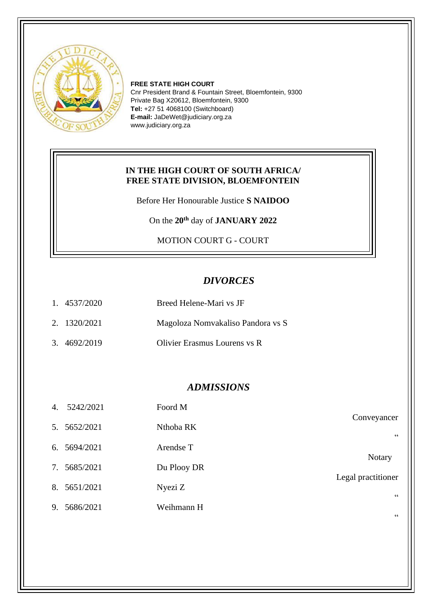

**FREE STATE HIGH COURT** Cnr President Brand & Fountain Street, Bloemfontein, 9300 Private Bag X20612, Bloemfontein, 9300 **Tel:** +27 51 4068100 (Switchboard) **E-mail:** JaDeWet@judiciary.org.za www.judiciary.org.za

#### **IN THE HIGH COURT OF SOUTH AFRICA/ FREE STATE DIVISION, BLOEMFONTEIN**

Before Her Honourable Justice **S NAIDOO**

On the **20th** day of **JANUARY 2022**

MOTION COURT G - COURT

# *DIVORCES*

| 1.4537/2020  | Breed Helene-Mari vs JF           |
|--------------|-----------------------------------|
| 2. 1320/2021 | Magoloza Nomvakaliso Pandora vs S |
| 3. 4692/2019 | Olivier Erasmus Lourens vs R      |

### *ADMISSIONS*

|                    | Foord M     | 5242/2021    | 4. |
|--------------------|-------------|--------------|----|
| Conveyancer<br>66  | Nthoba RK   | 5. 5652/2021 |    |
| <b>Notary</b>      | Arendse T   | 5694/2021    | 6. |
| Legal practitioner | Du Plooy DR | 7. 5685/2021 |    |
| 66                 | Nyezi Z     | 8. 5651/2021 |    |
|                    | Weihmann H  | 9. 5686/2021 |    |

"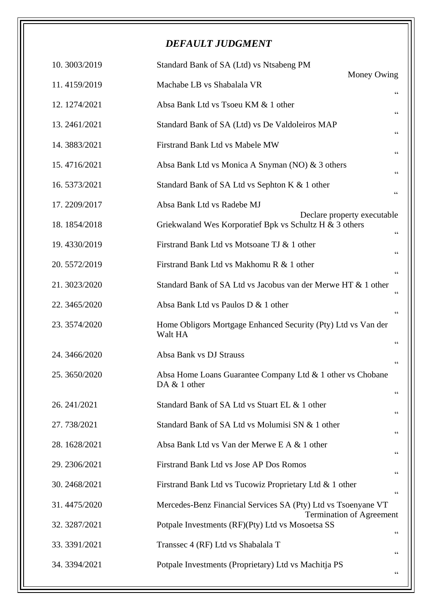# *DEFAULT JUDGMENT*

| 10.3003/2019  | Standard Bank of SA (Ltd) vs Ntsabeng PM                                   | Money Owing                                |
|---------------|----------------------------------------------------------------------------|--------------------------------------------|
| 11.4159/2019  | Machabe LB vs Shabalala VR                                                 | 66                                         |
| 12.1274/2021  | Absa Bank Ltd vs Tsoeu KM & 1 other                                        | $\!\!\!\zeta\,\zeta\!\!\!\zeta\!\!\!\zeta$ |
| 13.2461/2021  | Standard Bank of SA (Ltd) vs De Valdoleiros MAP                            | 66                                         |
| 14.3883/2021  | Firstrand Bank Ltd vs Mabele MW                                            | $\!\!\!\zeta\,\zeta\!\!\!\zeta\!\!\!\zeta$ |
| 15.4716/2021  | Absa Bank Ltd vs Monica A Snyman (NO) & 3 others                           | $\zeta$ $\zeta$                            |
| 16.5373/2021  | Standard Bank of SA Ltd vs Sephton K & 1 other                             | $\mbox{\bf G}$                             |
| 17.2209/2017  | Absa Bank Ltd vs Radebe MJ                                                 |                                            |
| 18.1854/2018  | Griekwaland Wes Korporatief Bpk vs Schultz H & 3 others                    | Declare property executable<br>66          |
| 19.4330/2019  | Firstrand Bank Ltd vs Motsoane TJ & 1 other                                | $\!\!\!\zeta\,\zeta\!\!\!\zeta\!\!\!\zeta$ |
| 20.5572/2019  | Firstrand Bank Ltd vs Makhomu R & 1 other                                  | $\zeta$ $\zeta$                            |
| 21.3023/2020  | Standard Bank of SA Ltd vs Jacobus van der Merwe HT & 1 other              | $\zeta$ $\zeta$                            |
| 22.3465/2020  | Absa Bank Ltd vs Paulos D & 1 other                                        | $\zeta$ $\zeta$                            |
| 23.3574/2020  | Home Obligors Mortgage Enhanced Security (Pty) Ltd vs Van der<br>Walt HA   | $\!\!\!\zeta\,\zeta\!\!\!\zeta\!\!\!\zeta$ |
| 24.3466/2020  | Absa Bank vs DJ Strauss                                                    | $\!\!\!\zeta\,\zeta\!\!\!\zeta\!\!\!\zeta$ |
| 25. 3650/2020 | Absa Home Loans Guarantee Company Ltd & 1 other vs Chobane<br>DA & 1 other | 66                                         |
| 26.241/2021   | Standard Bank of SA Ltd vs Stuart EL & 1 other                             | $\!\!\!\zeta\,\zeta\!\!\!\zeta\!\!\!\zeta$ |
| 27.738/2021   | Standard Bank of SA Ltd vs Molumisi SN & 1 other                           | $\!\!\!\zeta\,\zeta\!\!\!\zeta\!\!\!\zeta$ |
| 28.1628/2021  | Absa Bank Ltd vs Van der Merwe E A & 1 other                               | $\!\!\!\zeta\,\zeta\!\!\!\zeta\!\!\!\zeta$ |
| 29.2306/2021  | Firstrand Bank Ltd vs Jose AP Dos Romos                                    | $\!\!\!\zeta\,\zeta\!\!\!\zeta\!\!\!\zeta$ |
| 30.2468/2021  | Firstrand Bank Ltd vs Tucowiz Proprietary Ltd & 1 other                    | $\!\!\!\zeta\,\zeta\!\!\!\zeta\!\!\!\zeta$ |
| 31.4475/2020  | Mercedes-Benz Financial Services SA (Pty) Ltd vs Tsoenyane VT              |                                            |
| 32. 3287/2021 | Potpale Investments (RF)(Pty) Ltd vs Mosoetsa SS                           | <b>Termination of Agreement</b><br>66      |
| 33.3391/2021  | Transsec 4 (RF) Ltd vs Shabalala T                                         | $\!\!\!\zeta\,\zeta\!\!\!\zeta\!\!\!\zeta$ |
| 34.3394/2021  | Potpale Investments (Proprietary) Ltd vs Machitja PS                       | $\!\!\!\zeta\,\zeta\!\!\!\zeta\!\!\!\zeta$ |
|               |                                                                            |                                            |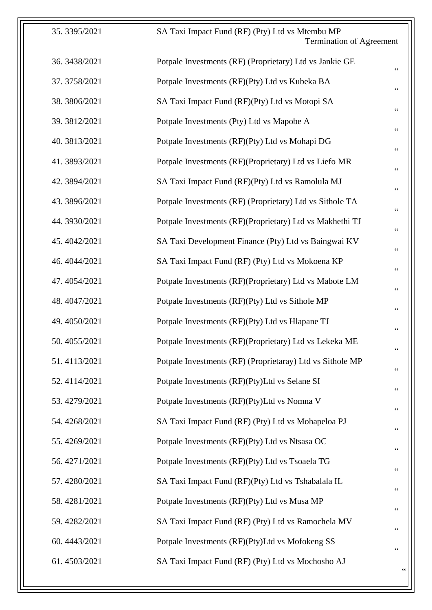| 35.3395/2021  | SA Taxi Impact Fund (RF) (Pty) Ltd vs Mtembu MP<br><b>Termination of Agreement</b> |                                            |
|---------------|------------------------------------------------------------------------------------|--------------------------------------------|
| 36. 3438/2021 | Potpale Investments (RF) (Proprietary) Ltd vs Jankie GE                            | $\zeta$ $\zeta$                            |
| 37.3758/2021  | Potpale Investments (RF)(Pty) Ltd vs Kubeka BA                                     | $\!\!\!\zeta\,\zeta\!\!\!\zeta\!\!\!\zeta$ |
| 38.3806/2021  | SA Taxi Impact Fund (RF)(Pty) Ltd vs Motopi SA                                     | $\textsf{G}\,\textsf{G}$                   |
| 39.3812/2021  | Potpale Investments (Pty) Ltd vs Mapobe A                                          | $\!\!\!\zeta\,\zeta\!\!\!\zeta\!\!\!\zeta$ |
| 40.3813/2021  | Potpale Investments (RF)(Pty) Ltd vs Mohapi DG                                     | $\,$ $\,$ $\,$ $\,$                        |
| 41.3893/2021  | Potpale Investments (RF)(Proprietary) Ltd vs Liefo MR                              | 66                                         |
| 42.3894/2021  | SA Taxi Impact Fund (RF)(Pty) Ltd vs Ramolula MJ                                   | $\textsf{G}\,\textsf{G}$                   |
| 43.3896/2021  | Potpale Investments (RF) (Proprietary) Ltd vs Sithole TA                           | $\!\!\!\zeta\,\zeta\!\!\!\zeta\!\!\!\zeta$ |
| 44.3930/2021  | Potpale Investments (RF)(Proprietary) Ltd vs Makhethi TJ                           | 66                                         |
| 45.4042/2021  | SA Taxi Development Finance (Pty) Ltd vs Baingwai KV                               | 66                                         |
| 46.4044/2021  | SA Taxi Impact Fund (RF) (Pty) Ltd vs Mokoena KP                                   | $\!\!\!\zeta\,\zeta\!\!\!\zeta\!\!\!\zeta$ |
| 47.4054/2021  | Potpale Investments (RF)(Proprietary) Ltd vs Mabote LM                             | $\!\!\!\zeta\,\zeta\!\!\!\zeta\!\!\!\zeta$ |
| 48.4047/2021  | Potpale Investments (RF)(Pty) Ltd vs Sithole MP                                    | $\textsf{G}\,\textsf{G}$                   |
| 49.4050/2021  | Potpale Investments (RF)(Pty) Ltd vs Hlapane TJ                                    | $\zeta \, \zeta$                           |
| 50.4055/2021  | Potpale Investments (RF)(Proprietary) Ltd vs Lekeka ME                             | 66                                         |
| 51.4113/2021  | Potpale Investments (RF) (Proprietaray) Ltd vs Sithole MP                          | $\,$ $\,$ $\,$ $\,$ $\,$                   |
| 52.4114/2021  | Potpale Investments (RF)(Pty)Ltd vs Selane SI                                      | $\textsf{G}\,\textsf{G}$                   |
| 53.4279/2021  | Potpale Investments (RF)(Pty)Ltd vs Nomna V                                        | $\textsf{G}\,\textsf{G}$                   |
| 54.4268/2021  | SA Taxi Impact Fund (RF) (Pty) Ltd vs Mohapeloa PJ                                 | $\!\!\!\zeta\,\zeta\!\!\!\zeta\!\!\!\zeta$ |
| 55.4269/2021  | Potpale Investments (RF)(Pty) Ltd vs Ntsasa OC                                     | $\,$ $\,$ $\,$ $\,$                        |
| 56.4271/2021  | Potpale Investments (RF)(Pty) Ltd vs Tsoaela TG                                    | 66                                         |
| 57.4280/2021  | SA Taxi Impact Fund (RF)(Pty) Ltd vs Tshabalala IL                                 | $\,$ $\,$ $\,$ $\,$                        |
| 58.4281/2021  | Potpale Investments (RF)(Pty) Ltd vs Musa MP                                       | $\textsf{G}\,\textsf{G}$                   |
| 59.4282/2021  | SA Taxi Impact Fund (RF) (Pty) Ltd vs Ramochela MV                                 | 66                                         |
| 60.4443/2021  | Potpale Investments (RF)(Pty)Ltd vs Mofokeng SS                                    | $\!\!\!\zeta\,\zeta\!\!\!\zeta\!\!\!\zeta$ |
| 61.4503/2021  | SA Taxi Impact Fund (RF) (Pty) Ltd vs Mochosho AJ                                  | $\zeta\,\zeta$                             |
|               |                                                                                    |                                            |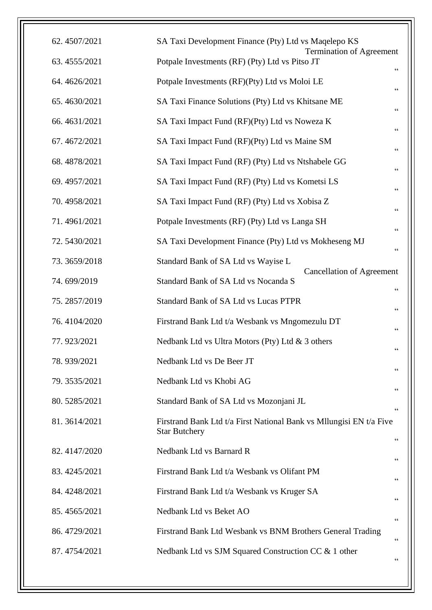| 62.4507/2021 | SA Taxi Development Finance (Pty) Ltd vs Maqelepo KS<br><b>Termination of Agreement</b>     |                 |
|--------------|---------------------------------------------------------------------------------------------|-----------------|
| 63.4555/2021 | Potpale Investments (RF) (Pty) Ltd vs Pitso JT                                              | $\zeta$ $\zeta$ |
| 64.4626/2021 | Potpale Investments (RF)(Pty) Ltd vs Moloi LE                                               | $\zeta$ $\zeta$ |
| 65.4630/2021 | SA Taxi Finance Solutions (Pty) Ltd vs Khitsane ME                                          | $\zeta$ $\zeta$ |
| 66.4631/2021 | SA Taxi Impact Fund (RF)(Pty) Ltd vs Noweza K                                               |                 |
| 67.4672/2021 | SA Taxi Impact Fund (RF)(Pty) Ltd vs Maine SM                                               |                 |
| 68.4878/2021 | SA Taxi Impact Fund (RF) (Pty) Ltd vs Ntshabele GG                                          |                 |
| 69.4957/2021 | SA Taxi Impact Fund (RF) (Pty) Ltd vs Kometsi LS                                            | $\zeta$ $\zeta$ |
| 70.4958/2021 | SA Taxi Impact Fund (RF) (Pty) Ltd vs Xobisa Z                                              |                 |
| 71.4961/2021 | Potpale Investments (RF) (Pty) Ltd vs Langa SH                                              |                 |
| 72.5430/2021 | SA Taxi Development Finance (Pty) Ltd vs Mokheseng MJ                                       | $\mbox{\bf G}$  |
| 73.3659/2018 | Standard Bank of SA Ltd vs Wayise L                                                         |                 |
| 74.699/2019  | <b>Cancellation of Agreement</b><br>Standard Bank of SA Ltd vs Nocanda S                    | $\zeta\,\zeta$  |
| 75.2857/2019 | <b>Standard Bank of SA Ltd vs Lucas PTPR</b>                                                | $\mbox{\bf G}$  |
| 76.4104/2020 | Firstrand Bank Ltd t/a Wesbank vs Mngomezulu DT                                             |                 |
| 77.923/2021  | Nedbank Ltd vs Ultra Motors (Pty) Ltd & 3 others                                            | $\,$ 6 $\,$     |
| 78.939/2021  | Nedbank Ltd vs De Beer JT                                                                   | 66              |
| 79.3535/2021 | Nedbank Ltd vs Khobi AG                                                                     | $\mbox{\bf G}$  |
| 80.5285/2021 | Standard Bank of SA Ltd vs Mozonjani JL                                                     | $\,$ 6 $\,$     |
| 81.3614/2021 | Firstrand Bank Ltd t/a First National Bank vs Mllungisi EN t/a Five<br><b>Star Butchery</b> | 66              |
| 82.4147/2020 | Nedbank Ltd vs Barnard R                                                                    |                 |
| 83.4245/2021 | Firstrand Bank Ltd t/a Wesbank vs Olifant PM                                                | $\,$ 6 $\,$     |
| 84.4248/2021 | Firstrand Bank Ltd t/a Wesbank vs Kruger SA                                                 | 66              |
| 85.4565/2021 | Nedbank Ltd vs Beket AO                                                                     | $\mbox{\bf G}$  |
| 86.4729/2021 | Firstrand Bank Ltd Wesbank vs BNM Brothers General Trading                                  | 66              |
| 87.4754/2021 | Nedbank Ltd vs SJM Squared Construction CC & 1 other                                        | $\,$ 6 $\,$     |
|              |                                                                                             |                 |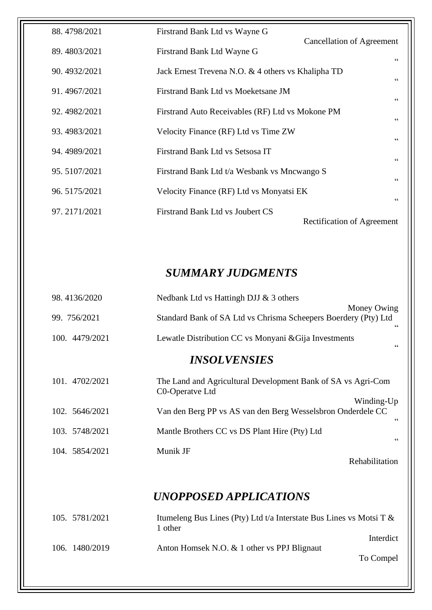| 88.4798/2021 | Firstrand Bank Ltd vs Wayne G                                  |
|--------------|----------------------------------------------------------------|
| 89.4803/2021 | <b>Cancellation of Agreement</b><br>Firstrand Bank Ltd Wayne G |
| 90.4932/2021 | 66<br>Jack Ernest Trevena N.O. & 4 others vs Khalipha TD       |
| 91.4967/2021 | 66<br>Firstrand Bank Ltd vs Moeketsane JM                      |
|              | 66                                                             |
| 92.4982/2021 | Firstrand Auto Receivables (RF) Ltd vs Mokone PM<br>66         |
| 93.4983/2021 | Velocity Finance (RF) Ltd vs Time ZW<br>$\zeta \, \zeta$       |
| 94.4989/2021 | Firstrand Bank Ltd vs Setsosa IT<br>66                         |
| 95.5107/2021 | Firstrand Bank Ltd t/a Wesbank vs Mncwango S<br>66             |
| 96.5175/2021 | Velocity Finance (RF) Ltd vs Monyatsi EK                       |
| 97.2171/2021 | 66<br>Firstrand Bank Ltd vs Joubert CS                         |
|              | <b>Rectification of Agreement</b>                              |

# *SUMMARY JUDGMENTS*

| 98.4136/2020               | Nedbank Ltd vs Hattingh DJJ & 3 others                                                            |  |
|----------------------------|---------------------------------------------------------------------------------------------------|--|
| 99. 756/2021               | Money Owing<br>Standard Bank of SA Ltd vs Chrisma Scheepers Boerdery (Pty) Ltd<br>$\zeta$ $\zeta$ |  |
| 100. 4479/2021             | Lewatle Distribution CC vs Monyani & Gija Investments<br>$\zeta$ $\zeta$                          |  |
| <i><b>INSOLVENSIES</b></i> |                                                                                                   |  |
| 101. 4702/2021             | The Land and Agricultural Development Bank of SA vs Agri-Com<br>C0-Operatve Ltd                   |  |
| 102. 5646/2021             | Winding-Up<br>Van den Berg PP vs AS van den Berg Wesselsbron Onderdele CC<br>$\zeta\,\zeta$       |  |
| 103. 5748/2021             | Mantle Brothers CC vs DS Plant Hire (Pty) Ltd<br>66                                               |  |
| 104. 5854/2021             | Munik JF<br>Rehabilitation                                                                        |  |
| UNOPPOSED APPLICATIONS     |                                                                                                   |  |
| 105. 5781/2021             | Itumeleng Bus Lines (Pty) Ltd t/a Interstate Bus Lines vs Motsi T &<br>1 other                    |  |
| 106. 1480/2019             | Interdict<br>Anton Homsek N.O. & 1 other vs PPJ Blignaut                                          |  |
|                            | To Compel                                                                                         |  |